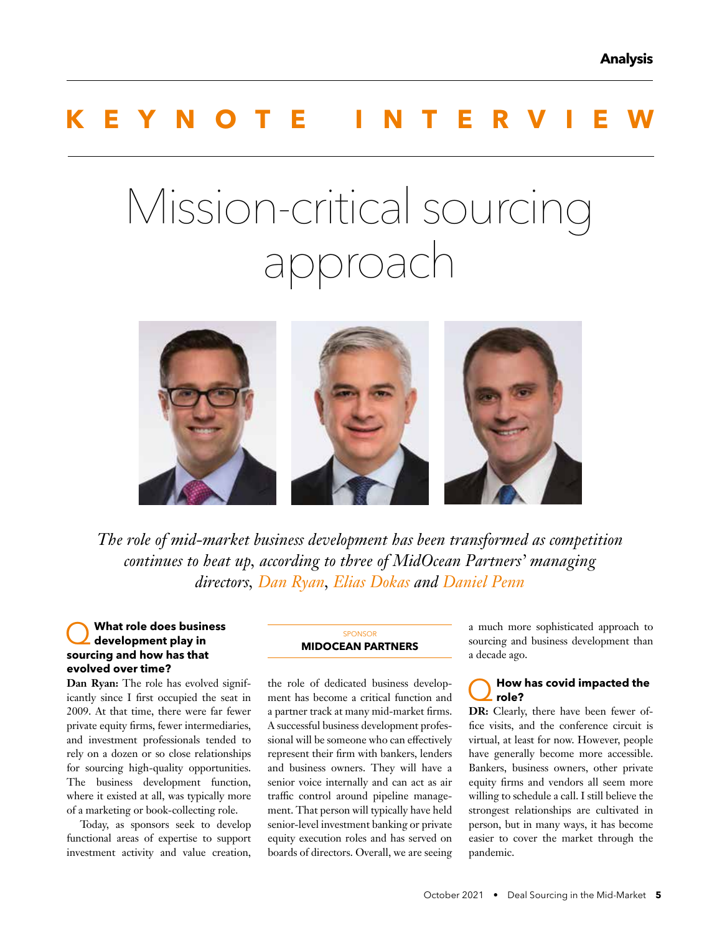## **KEYNOTE INTERVIEW**

# Mission-critical sourcing approach



*The role of mid-market business development has been transformed as competition continues to heat up, according to three of MidOcean Partners' managing directors, Dan Ryan, Elias Dokas and Daniel Penn*

#### Q **What role does business development play in sourcing and how has that evolved over time?**

**Dan Ryan:** The role has evolved significantly since I first occupied the seat in 2009. At that time, there were far fewer private equity firms, fewer intermediaries, and investment professionals tended to rely on a dozen or so close relationships for sourcing high-quality opportunities. The business development function, where it existed at all, was typically more of a marketing or book-collecting role.

Today, as sponsors seek to develop functional areas of expertise to support investment activity and value creation,

#### **SPONSOR MIDOCEAN PARTNERS**

the role of dedicated business development has become a critical function and a partner track at many mid-market firms. A successful business development professional will be someone who can effectively represent their firm with bankers, lenders and business owners. They will have a senior voice internally and can act as air traffic control around pipeline management. That person will typically have held senior-level investment banking or private equity execution roles and has served on boards of directors. Overall, we are seeing a much more sophisticated approach to sourcing and business development than a decade ago.

#### Q**How has covid impacted the role?**

**DR:** Clearly, there have been fewer office visits, and the conference circuit is virtual, at least for now. However, people have generally become more accessible. Bankers, business owners, other private equity firms and vendors all seem more willing to schedule a call. I still believe the strongest relationships are cultivated in person, but in many ways, it has become easier to cover the market through the pandemic.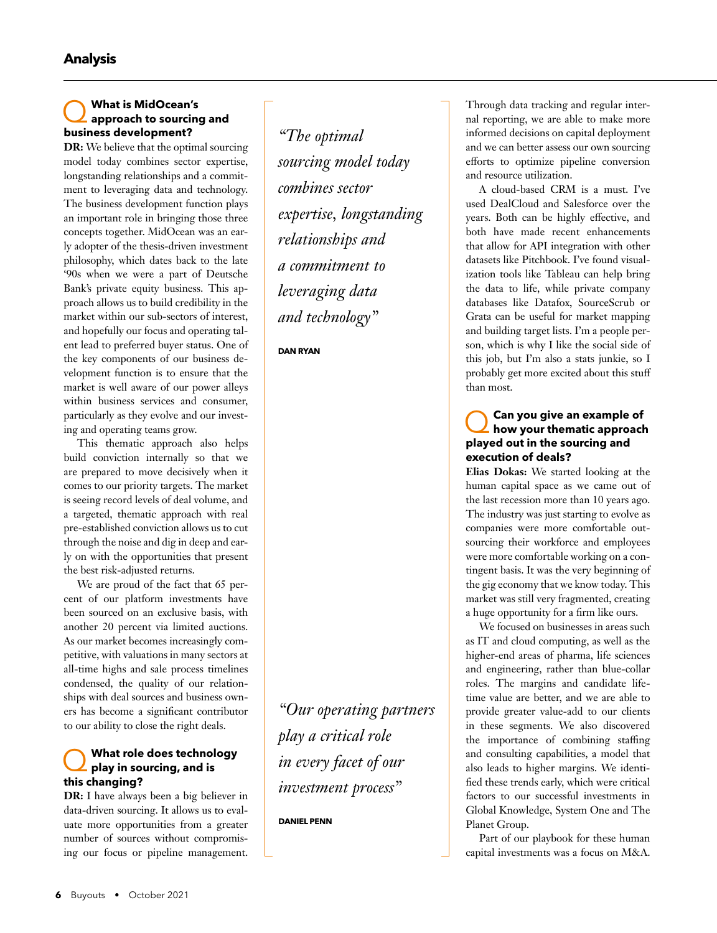## Q **What is MidOcean's approach to sourcing and business development?**

**DR:** We believe that the optimal sourcing model today combines sector expertise, longstanding relationships and a commitment to leveraging data and technology. The business development function plays an important role in bringing those three concepts together. MidOcean was an early adopter of the thesis-driven investment philosophy, which dates back to the late '90s when we were a part of Deutsche Bank's private equity business. This approach allows us to build credibility in the market within our sub-sectors of interest, and hopefully our focus and operating talent lead to preferred buyer status. One of the key components of our business development function is to ensure that the market is well aware of our power alleys within business services and consumer, particularly as they evolve and our investing and operating teams grow.

This thematic approach also helps build conviction internally so that we are prepared to move decisively when it comes to our priority targets. The market is seeing record levels of deal volume, and a targeted, thematic approach with real pre-established conviction allows us to cut through the noise and dig in deep and early on with the opportunities that present the best risk-adjusted returns.

We are proud of the fact that 65 percent of our platform investments have been sourced on an exclusive basis, with another 20 percent via limited auctions. As our market becomes increasingly competitive, with valuations in many sectors at all-time highs and sale process timelines condensed, the quality of our relationships with deal sources and business owners has become a significant contributor to our ability to close the right deals.

#### Q **What role does technology play in sourcing, and is this changing?**

**DR:** I have always been a big believer in data-driven sourcing. It allows us to evaluate more opportunities from a greater number of sources without compromising our focus or pipeline management.

*"The optimal sourcing model today combines sector expertise, longstanding relationships and a commitment to leveraging data and technology"* 

**DAN RYAN**

*"Our operating partners play a critical role in every facet of our investment process"* 

**DANIEL PENN**

Through data tracking and regular internal reporting, we are able to make more informed decisions on capital deployment and we can better assess our own sourcing efforts to optimize pipeline conversion and resource utilization.

A cloud-based CRM is a must. I've used DealCloud and Salesforce over the years. Both can be highly effective, and both have made recent enhancements that allow for API integration with other datasets like Pitchbook. I've found visualization tools like Tableau can help bring the data to life, while private company databases like Datafox, SourceScrub or Grata can be useful for market mapping and building target lists. I'm a people person, which is why I like the social side of this job, but I'm also a stats junkie, so I probably get more excited about this stuff than most.

### Q**Can you give an example of how your thematic approach played out in the sourcing and execution of deals?**

**Elias Dokas:** We started looking at the human capital space as we came out of the last recession more than 10 years ago. The industry was just starting to evolve as companies were more comfortable outsourcing their workforce and employees were more comfortable working on a contingent basis. It was the very beginning of the gig economy that we know today. This market was still very fragmented, creating a huge opportunity for a firm like ours.

We focused on businesses in areas such as IT and cloud computing, as well as the higher-end areas of pharma, life sciences and engineering, rather than blue-collar roles. The margins and candidate lifetime value are better, and we are able to provide greater value-add to our clients in these segments. We also discovered the importance of combining staffing and consulting capabilities, a model that also leads to higher margins. We identified these trends early, which were critical factors to our successful investments in Global Knowledge, System One and The Planet Group.

Part of our playbook for these human capital investments was a focus on M&A.